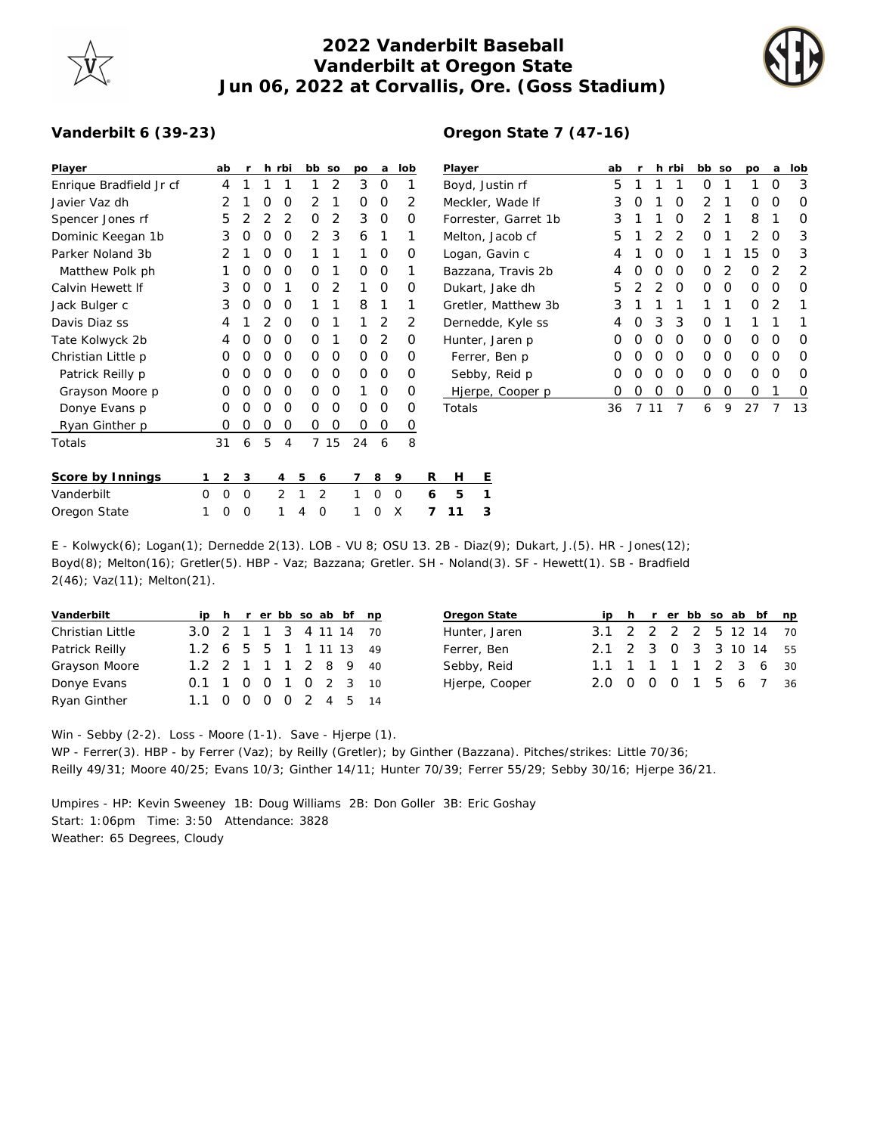## **2022 Vanderbilt Baseball Vanderbilt at Oregon State Jun 06, 2022 at Corvallis, Ore. (Goss Stadium)**



## **Vanderbilt 6 (39-23)**

| Player                  | ab             |          |   | h rbi       | bb so    |      | po          | a            | lob            |                | Player               | ab |   |    | h rbi    | bb so        |          | po          | a        | lob      |
|-------------------------|----------------|----------|---|-------------|----------|------|-------------|--------------|----------------|----------------|----------------------|----|---|----|----------|--------------|----------|-------------|----------|----------|
| Enrique Bradfield Jr cf | 4              |          |   |             |          | 2    | 3           | 0            |                |                | Boyd, Justin rf      | 5  |   |    |          | 0            |          |             | 0        | 3        |
| Javier Vaz dh           |                |          | O | 0           | 2        |      | 0           | O            | 2              |                | Meckler, Wade If     | 3  | O |    | 0        | 2            |          | 0           | 0        | O        |
| Spencer Jones rf        | 5              |          | 2 | 2           | 0        | 2    | 3           | O            | 0              |                | Forrester, Garret 1b | 3  |   |    | 0        | 2            |          | 8           |          | O        |
| Dominic Keegan 1b       | 3              | 0        | 0 | 0           | 2        | 3    | 6           |              |                |                | Melton, Jacob cf     | 5  |   | 2  | 2        | 0            |          | 2           | O        | 3        |
| Parker Noland 3b        | 2              |          | O | 0           |          |      |             | 0            | 0              |                | Logan, Gavin c       | 4  |   | O  | 0        |              |          | 15          | O        | 3        |
| Matthew Polk ph         |                | $\Omega$ | 0 | $\mathbf 0$ | 0        |      | $\mathbf 0$ | $\circ$      |                |                | Bazzana, Travis 2b   | 4  | Ο | 0  | 0        | $\Omega$     | 2        | 0           |          | 2        |
| Calvin Hewett If        | 3              | O        | O |             | O        | 2    |             | O            | 0              |                | Dukart, Jake dh      | 5  |   | 2  | $\Omega$ | $\Omega$     | 0        | 0           | O        | O        |
| Jack Bulger c           | 3              | 0        | 0 | 0           |          |      | 8           |              |                |                | Gretler, Matthew 3b  | 3  |   |    |          |              |          | $\mathbf 0$ | 2        | 1        |
| Davis Diaz ss           | 4              |          | 2 | 0           | 0        | 1    |             | 2            | 2              |                | Dernedde, Kyle ss    | 4  | O | 3  | 3        | 0            |          |             |          |          |
| Tate Kolwyck 2b         | 4              |          | O | $\Omega$    | $\Omega$ |      | $\Omega$    | 2            | $\Omega$       |                | Hunter, Jaren p      | 0  | Ο | Ο  | 0        | $\Omega$     | $\Omega$ | 0           | O        | O        |
| Christian Little p      | 0              | O        | O | $\Omega$    | $\Omega$ | 0    | $\mathbf 0$ | $\Omega$     | 0              |                | Ferrer, Ben p        | 0  | Ο | Ο  | 0        | $\Omega$     | $\Omega$ | 0           | $\Omega$ | $\Omega$ |
| Patrick Reilly p        | 0              |          | O | 0           | 0        | 0    | 0           | O            | 0              |                | Sebby, Reid p        | O  |   | Ο  | 0        | $\Omega$     | $\Omega$ | 0           | $\Omega$ | O        |
| Grayson Moore p         | $\Omega$       | $\Omega$ | O | 0           | O        | 0    |             | 0            | 0              |                | Hjerpe, Cooper p     | 0  | 0 | 0  | 0        | $\mathbf{O}$ | $\circ$  | 0           |          | O        |
| Donye Evans p           | 0              | O        | 0 | 0           | 0        | 0    | 0           | 0            | 0              |                | Totals               | 36 |   | 11 | 7        | 6            | 9        | 27          |          | 13       |
| Ryan Ginther p          | 0              | 0        | 0 | 0           | 0        | 0    | $\mathbf 0$ | $\mathsf{O}$ | $\overline{o}$ |                |                      |    |   |    |          |              |          |             |          |          |
| Totals                  | 31             | 6        | 5 | 4           |          | 7 15 | 24          | 6            | 8              |                |                      |    |   |    |          |              |          |             |          |          |
|                         |                |          |   |             |          |      |             |              |                |                |                      |    |   |    |          |              |          |             |          |          |
| Score by Innings        | $\overline{2}$ | 3        |   | 4           | 5<br>6   |      |             | 8            | 9              | R              | Е<br>H               |    |   |    |          |              |          |             |          |          |
| Vanderbilt              | 0<br>0         | $\circ$  |   | 2           | 2        |      |             | 0            | $\mathbf 0$    | 6              | 5                    |    |   |    |          |              |          |             |          |          |
| Oregon State            | 0              | 0        |   |             | 0<br>4   |      |             | 0            | X              | $\overline{7}$ | 3<br>11              |    |   |    |          |              |          |             |          |          |

## **Oregon State 7 (47-16)**

E - Kolwyck(6); Logan(1); Dernedde 2(13). LOB - VU 8; OSU 13. 2B - Diaz(9); Dukart, J.(5). HR - Jones(12); Boyd(8); Melton(16); Gretler(5). HBP - Vaz; Bazzana; Gretler. SH - Noland(3). SF - Hewett(1). SB - Bradfield 2(46); Vaz(11); Melton(21).

| Vanderbilt              |                           |  |  |  | ip h r er bb so ab bf np |
|-------------------------|---------------------------|--|--|--|--------------------------|
| <b>Christian Little</b> | 3.0 2 1 1 3 4 11 14 70    |  |  |  |                          |
| Patrick Reilly          | 1.2 6 5 5 1 1 1 1 1 1 4 9 |  |  |  |                          |
| Grayson Moore           | 1.2 2 1 1 1 2 8 9 40      |  |  |  |                          |
| Donye Evans             | 0.1 1 0 0 1 0 2 3 10      |  |  |  |                          |
| Ryan Ginther            | 1.1                       |  |  |  | 0 0 0 0 2 4 5 14         |

| Oregon State   |                        |  |  |  | ip h r er bb so ab bf np |
|----------------|------------------------|--|--|--|--------------------------|
| Hunter, Jaren  | 3.1 2 2 2 2 5 12 14 70 |  |  |  |                          |
| Ferrer, Ben    | 2.1 2 3 0 3 3 10 14 55 |  |  |  |                          |
| Sebby, Reid    | 1.1 1 1 1 1 2 3 6 30   |  |  |  |                          |
| Hjerpe, Cooper | 2.0 0 0 0 1 5 6 7 36   |  |  |  |                          |

Win - Sebby (2-2). Loss - Moore (1-1). Save - Hjerpe (1). WP - Ferrer(3). HBP - by Ferrer (Vaz); by Reilly (Gretler); by Ginther (Bazzana). Pitches/strikes: Little 70/36; Reilly 49/31; Moore 40/25; Evans 10/3; Ginther 14/11; Hunter 70/39; Ferrer 55/29; Sebby 30/16; Hjerpe 36/21.

Umpires - HP: Kevin Sweeney 1B: Doug Williams 2B: Don Goller 3B: Eric Goshay Start: 1:06pm Time: 3:50 Attendance: 3828 Weather: 65 Degrees, Cloudy